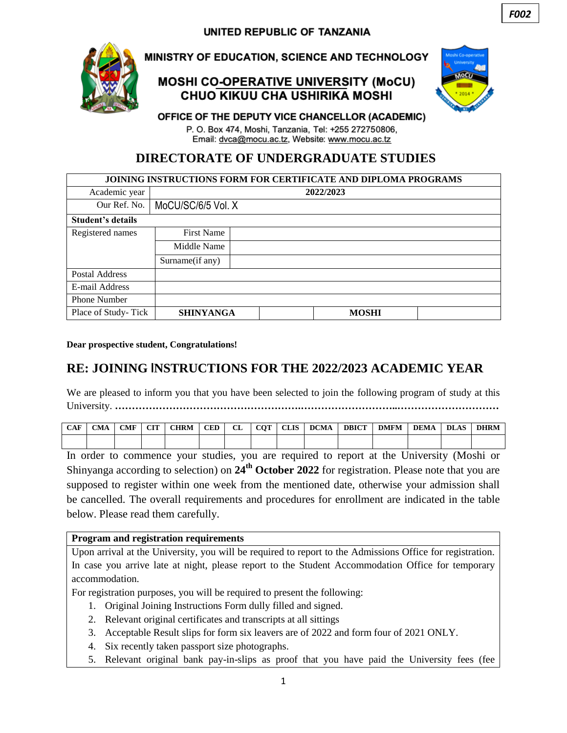

## MINISTRY OF EDUCATION, SCIENCE AND TECHNOLOGY

## **MOSHI CO-OPERATIVE UNIVERSITY (MoCU)** CHUO KIKUU CHA USHIRIKA MOSHI



#### OFFICE OF THE DEPUTY VICE CHANCELLOR (ACADEMIC)

P. O. Box 474, Moshi, Tanzania, Tel: +255 272750806, Email: dvca@mocu.ac.tz, Website: www.mocu.ac.tz

## **DIRECTORATE OF UNDERGRADUATE STUDIES**

| <b>JOINING INSTRUCTIONS FORM FOR CERTIFICATE AND DIPLOMA PROGRAMS</b> |                   |                    |              |  |  |  |  |
|-----------------------------------------------------------------------|-------------------|--------------------|--------------|--|--|--|--|
| Academic year                                                         |                   | 2022/2023          |              |  |  |  |  |
| Our Ref. No.                                                          |                   | MoCU/SC/6/5 Vol. X |              |  |  |  |  |
| <b>Student's details</b>                                              |                   |                    |              |  |  |  |  |
| Registered names                                                      | <b>First Name</b> |                    |              |  |  |  |  |
|                                                                       | Middle Name       |                    |              |  |  |  |  |
|                                                                       | Surname(if any)   |                    |              |  |  |  |  |
| Postal Address                                                        |                   |                    |              |  |  |  |  |
| E-mail Address                                                        |                   |                    |              |  |  |  |  |
| <b>Phone Number</b>                                                   |                   |                    |              |  |  |  |  |
| Place of Study-Tick                                                   | <b>SHINYANGA</b>  |                    | <b>MOSHI</b> |  |  |  |  |

**Dear prospective student, Congratulations!**

# **RE: JOINING INSTRUCTIONS FOR THE 2022/2023 ACADEMIC YEAR**

We are pleased to inform you that you have been selected to join the following program of study at this University. **……………………………………………….………………………..…………………………**

| <b>CAF</b> | CMA | <b>CMF</b> | $\mathbf{C}\mathbf{H}$<br>u. | CHRM | <b>CED</b> | $\sim$<br>ப | $\alpha$ T | <b>CLIS</b> | <b>DCMA</b> | <b>DBICT</b> | <b>DMFM</b> | <b>DEMA</b> | <b>DLAS</b> | <b>DHRM</b> |
|------------|-----|------------|------------------------------|------|------------|-------------|------------|-------------|-------------|--------------|-------------|-------------|-------------|-------------|
|            |     |            |                              |      |            |             |            |             |             |              |             |             |             |             |

In order to commence your studies, you are required to report at the University (Moshi or Shinyanga according to selection) on **24 th October 2022** for registration. Please note that you are supposed to register within one week from the mentioned date, otherwise your admission shall be cancelled. The overall requirements and procedures for enrollment are indicated in the table below. Please read them carefully.

#### **Program and registration requirements**

Upon arrival at the University, you will be required to report to the Admissions Office for registration. In case you arrive late at night, please report to the Student Accommodation Office for temporary accommodation.

For registration purposes, you will be required to present the following:

- 1. Original Joining Instructions Form dully filled and signed.
- 2. Relevant original certificates and transcripts at all sittings
- 3. Acceptable Result slips for form six leavers are of 2022 and form four of 2021 ONLY.
- 4. Six recently taken passport size photographs.
- 5. Relevant original bank pay-in-slips as proof that you have paid the University fees (fee

*F002*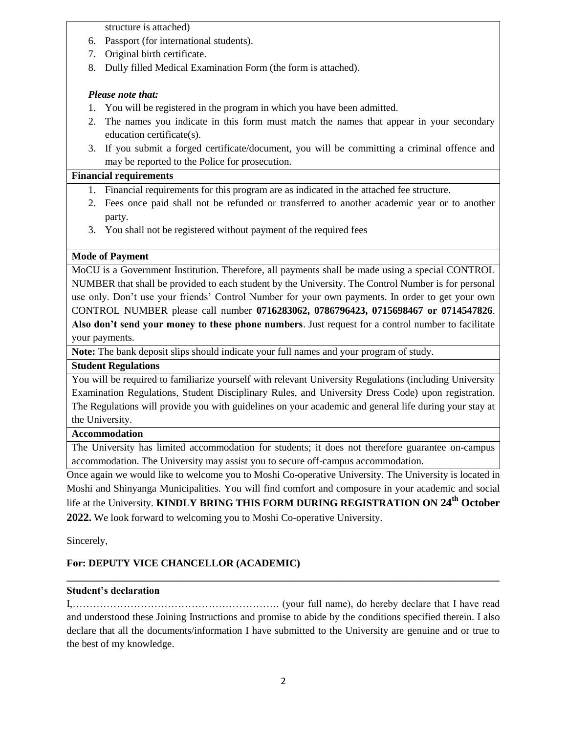structure is attached)

- 6. Passport (for international students).
- 7. Original birth certificate.
- 8. Dully filled Medical Examination Form (the form is attached).

#### *Please note that:*

- 1. You will be registered in the program in which you have been admitted.
- 2. The names you indicate in this form must match the names that appear in your secondary education certificate(s).
- 3. If you submit a forged certificate/document, you will be committing a criminal offence and may be reported to the Police for prosecution.

#### **Financial requirements**

- 1. Financial requirements for this program are as indicated in the attached fee structure.
- 2. Fees once paid shall not be refunded or transferred to another academic year or to another party.
- 3. You shall not be registered without payment of the required fees

#### **Mode of Payment**

MoCU is a Government Institution. Therefore, all payments shall be made using a special CONTROL NUMBER that shall be provided to each student by the University. The Control Number is for personal use only. Don't use your friends' Control Number for your own payments. In order to get your own CONTROL NUMBER please call number **0716283062, 0786796423, 0715698467 or 0714547826**. **Also don't send your money to these phone numbers**. Just request for a control number to facilitate your payments.

**Note:** The bank deposit slips should indicate your full names and your program of study.

#### **Student Regulations**

You will be required to familiarize yourself with relevant University Regulations (including University Examination Regulations, Student Disciplinary Rules, and University Dress Code) upon registration. The Regulations will provide you with guidelines on your academic and general life during your stay at the University.

#### **Accommodation**

The University has limited accommodation for students; it does not therefore guarantee on-campus accommodation. The University may assist you to secure off-campus accommodation.

Once again we would like to welcome you to Moshi Co-operative University. The University is located in Moshi and Shinyanga Municipalities. You will find comfort and composure in your academic and social life at the University. **KINDLY BRING THIS FORM DURING REGISTRATION ON 24<sup>th</sup> October 2022.** We look forward to welcoming you to Moshi Co-operative University.

Sincerely,

#### **For: DEPUTY VICE CHANCELLOR (ACADEMIC)**

#### **Student's declaration**

I,……………………………………………………. (your full name), do hereby declare that I have read and understood these Joining Instructions and promise to abide by the conditions specified therein. I also declare that all the documents/information I have submitted to the University are genuine and or true to the best of my knowledge.

**\_\_\_\_\_\_\_\_\_\_\_\_\_\_\_\_\_\_\_\_\_\_\_\_\_\_\_\_\_\_\_\_\_\_\_\_\_\_\_\_\_\_\_\_\_\_\_\_\_\_\_\_\_\_\_\_\_\_\_\_\_\_\_\_\_\_\_\_\_\_\_\_\_\_\_\_\_\_\_\_\_\_\_\_\_**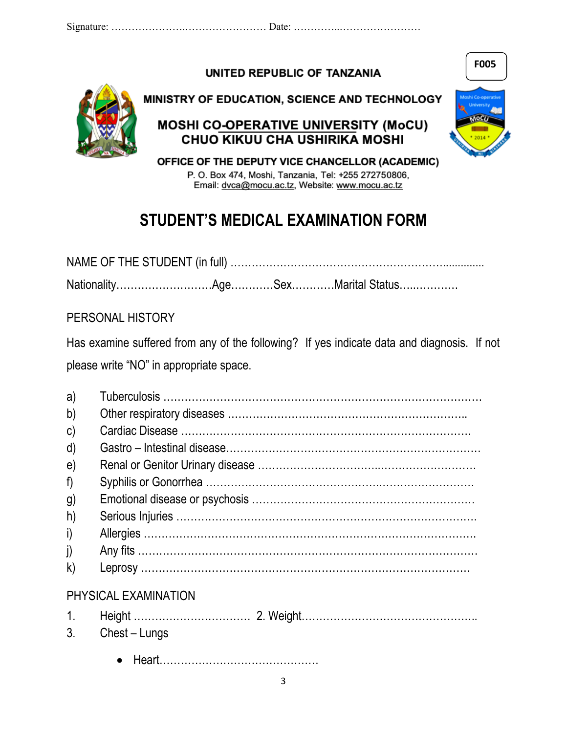UNITED REPUBLIC OF TANZANIA



MINISTRY OF EDUCATION, SCIENCE AND TECHNOLOGY

# **MOSHI CO-OPERATIVE UNIVERSITY (MoCU)** CHUO KIKUU CHA USHIRIKA MOSHI



**F005**

OFFICE OF THE DEPUTY VICE CHANCELLOR (ACADEMIC) P. O. Box 474, Moshi, Tanzania, Tel: +255 272750806,

Email: dvca@mocu.ac.tz, Website: www.mocu.ac.tz

# **STUDENT'S MEDICAL EXAMINATION FORM**

NAME OF THE STUDENT (in full) …………………………………………………….............. Nationality………………………Age…………Sex…………Marital Status…..…………

PERSONAL HISTORY

Has examine suffered from any of the following? If yes indicate data and diagnosis. If not please write "NO" in appropriate space.

| a)             |                      |
|----------------|----------------------|
| $\mathsf{b}$   |                      |
| $\mathsf{C}$   |                      |
| d)             |                      |
| $\mathbf{e}$   |                      |
| f)             |                      |
| $\mathfrak{g}$ |                      |
| $ h\rangle$    |                      |
| i)             |                      |
|                |                      |
| $\mathsf{k}$   |                      |
|                | PHYSICAL EXAMINATION |
|                |                      |
| 3.             | Chest – Lungs        |
|                |                      |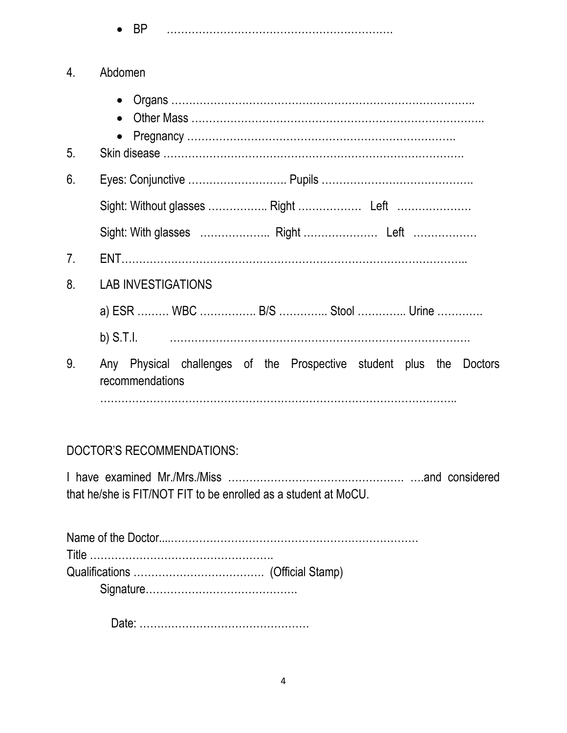BP ……………………………………………………….

| 4. | Abdomen                                                                                |  |  |  |  |  |  |  |  |
|----|----------------------------------------------------------------------------------------|--|--|--|--|--|--|--|--|
| 5. |                                                                                        |  |  |  |  |  |  |  |  |
| 6. |                                                                                        |  |  |  |  |  |  |  |  |
|    |                                                                                        |  |  |  |  |  |  |  |  |
|    |                                                                                        |  |  |  |  |  |  |  |  |
| 7. |                                                                                        |  |  |  |  |  |  |  |  |
| 8. | <b>LAB INVESTIGATIONS</b>                                                              |  |  |  |  |  |  |  |  |
|    | a) ESR  WBC  B/S  Stool  Urine                                                         |  |  |  |  |  |  |  |  |
|    |                                                                                        |  |  |  |  |  |  |  |  |
| 9. | Any Physical challenges of the Prospective student plus the Doctors<br>recommendations |  |  |  |  |  |  |  |  |
|    |                                                                                        |  |  |  |  |  |  |  |  |

# DOCTOR'S RECOMMENDATIONS:

I have examined Mr./Mrs./Miss …………………………….……………. ….and considered that he/she is FIT/NOT FIT to be enrolled as a student at MoCU.

Date: …………………………………………